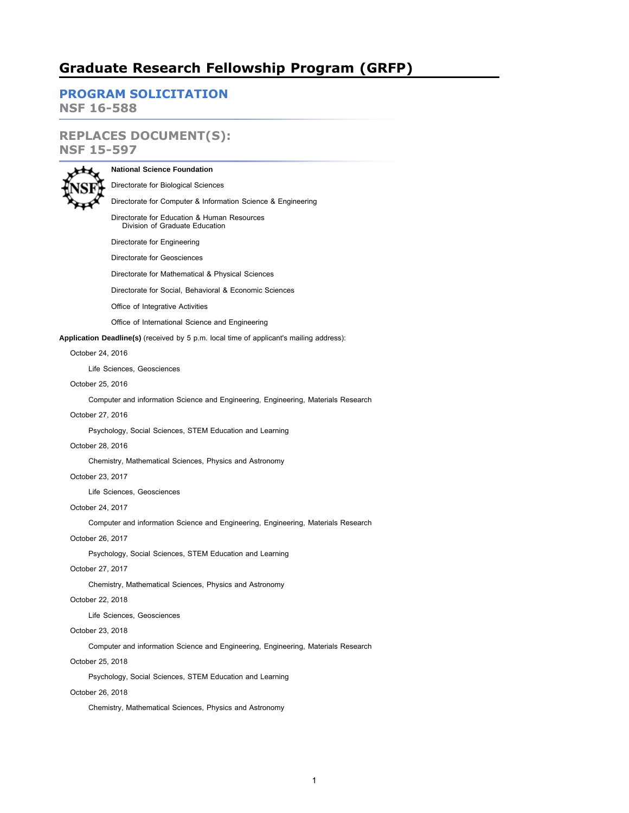# **Graduate Research Fellowship Program (GRFP)**

**[PROGRAM SOLICITATION](#page-4-0)**

**NSF 16-588**

# **REPLACES DOCUMENT(S): NSF 15-597**



# **National Science Foundation**

Directorate for Biological Sciences

### Directorate for Computer & Information Science & Engineering

Directorate for Education & Human Resources Division of Graduate Education

Directorate for Engineering

Directorate for Geosciences

Directorate for Mathematical & Physical Sciences

Directorate for Social, Behavioral & Economic Sciences

Office of Integrative Activities

Office of International Science and Engineering

**Application Deadline(s)** (received by 5 p.m. local time of applicant's mailing address):

### October 24, 2016

Life Sciences, Geosciences

## October 25, 2016

Computer and information Science and Engineering, Engineering, Materials Research

## October 27, 2016

Psychology, Social Sciences, STEM Education and Learning

### October 28, 2016

Chemistry, Mathematical Sciences, Physics and Astronomy

## October 23, 2017

Life Sciences, Geosciences

## October 24, 2017

Computer and information Science and Engineering, Engineering, Materials Research

## October 26, 2017

Psychology, Social Sciences, STEM Education and Learning

## October 27, 2017

Chemistry, Mathematical Sciences, Physics and Astronomy

## October 22, 2018

Life Sciences, Geosciences

## October 23, 2018

Computer and information Science and Engineering, Engineering, Materials Research

## October 25, 2018

Psychology, Social Sciences, STEM Education and Learning

## October 26, 2018

Chemistry, Mathematical Sciences, Physics and Astronomy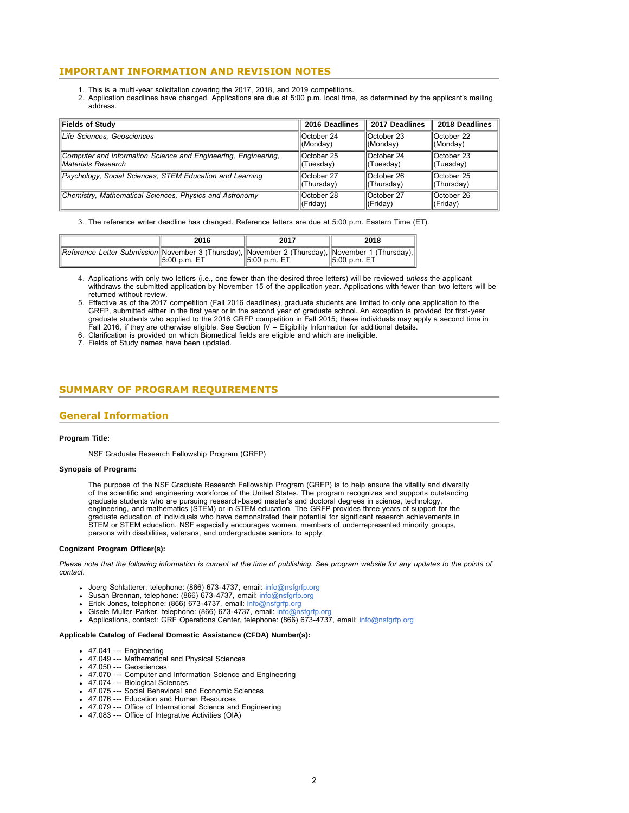## **IMPORTANT INFORMATION AND REVISION NOTES**

- 1. This is a multi-year solicitation covering the 2017, 2018, and 2019 competitions.
- 2. Application deadlines have changed. Applications are due at 5:00 p.m. local time, as determined by the applicant's mailing address.

| Fields of Study                                                | 2016 Deadlines    | 2017 Deadlines         | 2018 Deadlines       |
|----------------------------------------------------------------|-------------------|------------------------|----------------------|
| Life Sciences, Geosciences                                     | IOctober 24       | $\parallel$ October 23 | <b>IOctober 22</b>   |
|                                                                | (Monday)          | (Monday)               | $\ $ (Monday)        |
| Computer and Information Science and Engineering, Engineering, | lOctober 25       | $\parallel$ October 24 | llOctober 23         |
| <b>IMaterials Research</b>                                     | (Tuesday)         | $\ $ (Tuesday)         | ll(Tuesday)          |
| Psychology, Social Sciences, STEM Education and Learning       | IOctober 27       | $\Lambda$ Crober 26    | lOctober 25          |
|                                                                | (Thursday)        | $\ $ (Thursday)        | ll(Thursday)         |
| Chemistry, Mathematical Sciences, Physics and Astronomy        | <b>October 28</b> | llOctober 27           | llOctober 26         |
|                                                                | (Friday)          | $\parallel$ (Friday)   | $\parallel$ (Friday) |

3. The reference writer deadline has changed. Reference letters are due at 5:00 p.m. Eastern Time (ET).

|                                                                                                  | 2016          | 2017               | 2018             |  |  |  |
|--------------------------------------------------------------------------------------------------|---------------|--------------------|------------------|--|--|--|
| Reference Letter Submission November 3 (Thursday), November 2 (Thursday), November 1 (Thursday), | 15:00 p.m. ET | $  5:00$ p.m. $ET$ | $  5:00$ p.m. ET |  |  |  |

4. Applications with only two letters (i.e., one fewer than the desired three letters) will be reviewed *unless* the applicant withdraws the submitted application by November 15 of the application year. Applications with fewer than two letters will be returned without review.

6. Clarification is provided on which Biomedical fields are eligible and which are ineligible.

7. Fields of Study names have been updated.

## <span id="page-1-0"></span>**SUMMARY OF PROGRAM REQUIREMENTS**

## **General Information**

## **Program Title:**

NSF Graduate Research Fellowship Program (GRFP)

#### **Synopsis of Program:**

The purpose of the NSF Graduate Research Fellowship Program (GRFP) is to help ensure the vitality and diversity of the scientific and engineering workforce of the United States. The program recognizes and supports outstanding graduate students who are pursuing research-based master's and doctoral degrees in science, technology, engineering, and mathematics (STEM) or in STEM education. The GRFP provides three years of support for the graduate education of individuals who have demonstrated their potential for significant research achievements in STEM or STEM education. NSF especially encourages women, members of underrepresented minority groups, persons with disabilities, veterans, and undergraduate seniors to apply.

#### **Cognizant Program Officer(s):**

*Please note that the following information is current at the time of publishing. See program website for any updates to the points of contact.*

- Joerg Schlatterer, telephone: (866) 673-4737, email: [info@nsfgrfp.org](mailto:info@nsfgrfp.org)
- Susan Brennan, telephone: (866) 673-4737, email: [info@nsfgrfp.org](mailto:info@nsfgrfp.org)
- 
- 
- Erick Jones, telephone: (866) 673-4737, email: [info@nsfgrfp.org](mailto:info@nsfgrfp.org)<br>Gisele Muller-Parker, telephone: (866) 673-4737, email: info@nsfgrfp.org<br>Applications, contact: GRF Operations Center, telephone: (866) 673-4737, email: info@

#### **Applicable Catalog of Federal Domestic Assistance (CFDA) Number(s):**

- 47.041 --- Engineering
- 47.049 --- Mathematical and Physical Sciences
- 47.050 --- Geosciences
- 47.070 --- Computer and Information Science and Engineering
- 47.074 --- Biological Sciences
- 47.075 --- Social Behavioral and Economic Sciences
- 47.076 --- Education and Human Resources
- 47.079 --- Office of International Science and Engineering
- 47.083 --- Office of Integrative Activities (OIA)

<sup>5.</sup> Effective as of the 2017 competition (Fall 2016 deadlines), graduate students are limited to only one application to the GRFP, submitted either in the first year or in the second year of graduate school. An exception is provided for first-year graduate students who applied to the 2016 GRFP competition in Fall 2015; these individuals may apply a second time in<br>Fall 2016, if they are otherwise eligible. See Section IV – Eligibility Information for additional detai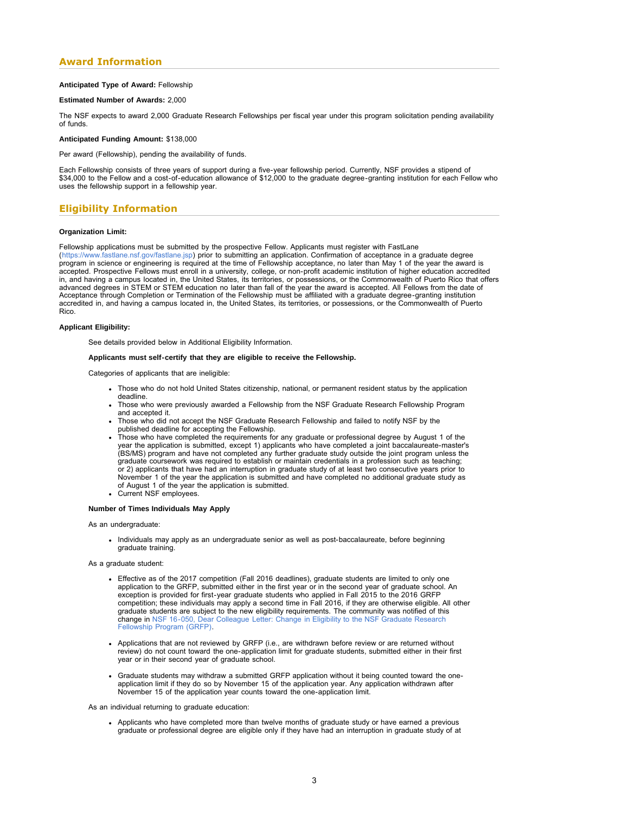## **Award Information**

## **Anticipated Type of Award:** Fellowship

## **Estimated Number of Awards:** 2,000

The NSF expects to award 2,000 Graduate Research Fellowships per fiscal year under this program solicitation pending availability of funds.

#### **Anticipated Funding Amount:** \$138,000

Per award (Fellowship), pending the availability of funds.

Each Fellowship consists of three years of support during a five-year fellowship period. Currently, NSF provides a stipend of \$34,000 to the Fellow and a cost-of-education allowance of \$12,000 to the graduate degree-granting institution for each Fellow who uses the fellowship support in a fellowship year.

## **Eligibility Information**

## **Organization Limit:**

Fellowship applications must be submitted by the prospective Fellow. Applicants must register with FastLane (<https://www.fastlane.nsf.gov/fastlane.jsp>) prior to submitting an application. Confirmation of acceptance in a graduate degree<br>program in science or engineering is required at the time of Fellowship acceptance, no later t accepted. Prospective Fellows must enroll in a university, college, or non-profit academic institution of higher education accredited<br>in, and having a campus located in, the United States, its territories, or possessions, advanced degrees in STEM or STEM education no later than fall of the year the award is accepted. All Fellows from the date of Acceptance through Completion or Termination of the Fellowship must be affiliated with a graduate degree-granting institution accredited in, and having a campus located in, the United States, its territories, or possessions, or the Commonwealth of Puerto Rico.

#### **Applicant Eligibility:**

See details provided below in Additional Eligibility Information.

#### **Applicants must self-certify that they are eligible to receive the Fellowship.**

Categories of applicants that are ineligible:

- Those who do not hold United States citizenship, national, or permanent resident status by the application deadline.
- Those who were previously awarded a Fellowship from the NSF Graduate Research Fellowship Program and accepted it.
- Those who did not accept the NSF Graduate Research Fellowship and failed to notify NSF by the
- published deadline for accepting the Fellowship. Those who have completed the requirements for any graduate or professional degree by August 1 of the year the application is submitted, except 1) applicants who have completed a joint baccalaureate-master's (BS/MS) program and have not completed any further graduate study outside the joint program unless the graduate coursework was required to establish or maintain credentials in a profession such as teaching; or 2) applicants that have had an interruption in graduate study of at least two consecutive years prior to November 1 of the year the application is submitted and have completed no additional graduate study as of August 1 of the year the application is submitted.
- Current NSF employees.

#### **Number of Times Individuals May Apply**

As an undergraduate:

- Individuals may apply as an undergraduate senior as well as post-baccalaureate, before beginning graduate training.
- As a graduate student:
	- Effective as of the 2017 competition (Fall 2016 deadlines), graduate students are limited to only one application to the GRFP, submitted either in the first year or in the second year of graduate school. An exception is provided for first-year graduate students who applied in Fall 2015 to the 2016 GRFP competition; these individuals may apply a second time in Fall 2016, if they are otherwise eligible. All other graduate students are subject to the new eligibility requirements. The community was notified of this change in [NSF 16-050, Dear Colleague Letter: Change in Eligibility to the NSF Graduate Research](https://www.nsf.gov/publications/pub_summ.jsp?ods_key=nsf16050) [Fellowship Program \(GRFP\).](https://www.nsf.gov/publications/pub_summ.jsp?ods_key=nsf16050)
	- Applications that are not reviewed by GRFP (i.e., are withdrawn before review or are returned without review) do not count toward the one-application limit for graduate students, submitted either in their first year or in their second year of graduate school.
	- Graduate students may withdraw a submitted GRFP application without it being counted toward the oneapplication limit if they do so by November 15 of the application year. Any application withdrawn after November 15 of the application year counts toward the one-application limit.

#### As an individual returning to graduate education:

Applicants who have completed more than twelve months of graduate study or have earned a previous graduate or professional degree are eligible only if they have had an interruption in graduate study of at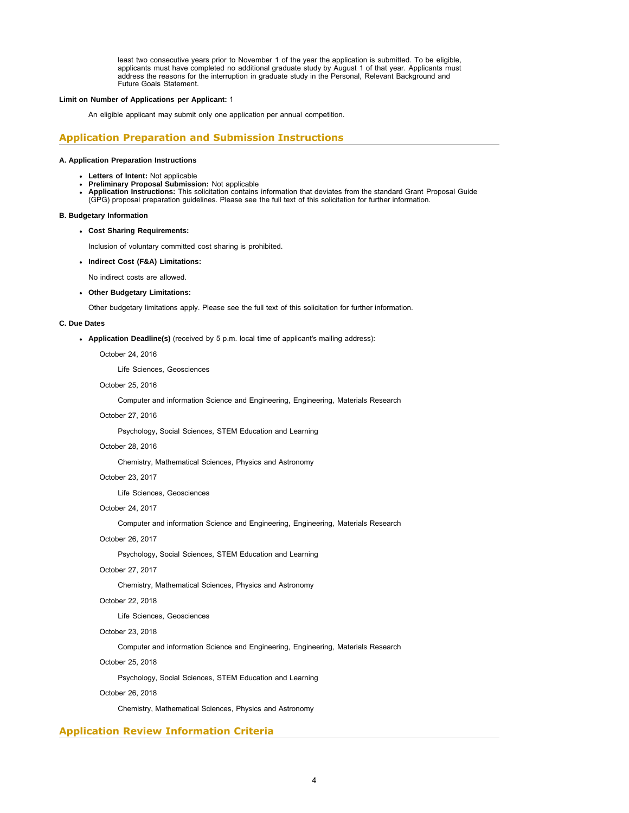least two consecutive years prior to November 1 of the year the application is submitted. To be eligible, applicants must have completed no additional graduate study by August 1 of that year. Applicants must address the reasons for the interruption in graduate study in the Personal, Relevant Background and Future Goals Statement.

### **Limit on Number of Applications per Applicant:** 1

An eligible applicant may submit only one application per annual competition.

## **Application Preparation and Submission Instructions**

### **A. Application Preparation Instructions**

- 
- **Letters of Intent:** Not applicable **Preliminary Proposal Submission:** Not applicable
- **Application Instructions:** This solicitation contains information that deviates from the standard Grant Proposal Guide (GPG) proposal preparation guidelines. Please see the full text of this solicitation for further information.

#### **B. Budgetary Information**

**Cost Sharing Requirements:**

Inclusion of voluntary committed cost sharing is prohibited.

**Indirect Cost (F&A) Limitations:**

No indirect costs are allowed.

**Other Budgetary Limitations:**

Other budgetary limitations apply. Please see the full text of this solicitation for further information.

### **C. Due Dates**

**Application Deadline(s)** (received by 5 p.m. local time of applicant's mailing address):

October 24, 2016

Life Sciences, Geosciences

### October 25, 2016

Computer and information Science and Engineering, Engineering, Materials Research

## October 27, 2016

Psychology, Social Sciences, STEM Education and Learning

### October 28, 2016

Chemistry, Mathematical Sciences, Physics and Astronomy

## October 23, 2017

Life Sciences, Geosciences

## October 24, 2017

Computer and information Science and Engineering, Engineering, Materials Research

## October 26, 2017

Psychology, Social Sciences, STEM Education and Learning

## October 27, 2017

Chemistry, Mathematical Sciences, Physics and Astronomy

## October 22, 2018

Life Sciences, Geosciences

## October 23, 2018

Computer and information Science and Engineering, Engineering, Materials Research

## October 25, 2018

Psychology, Social Sciences, STEM Education and Learning

## October 26, 2018

Chemistry, Mathematical Sciences, Physics and Astronomy

## **Application Review Information Criteria**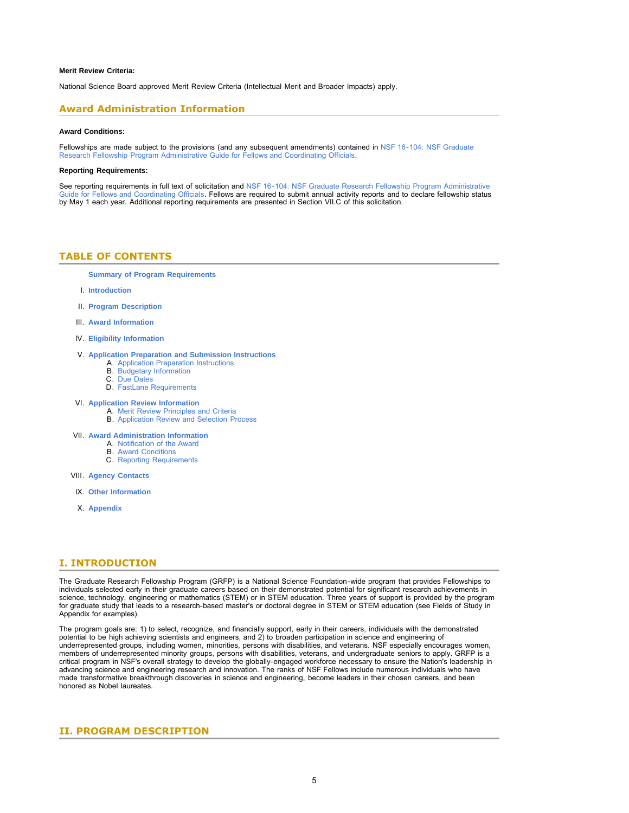#### **Merit Review Criteria:**

National Science Board approved Merit Review Criteria (Intellectual Merit and Broader Impacts) apply.

## **Award Administration Information**

#### **Award Conditions:**

Fellowships are made subject to the provisions (and any subsequent amendments) contained in [NSF 16-104: NSF Graduate](https://www.nsf.gov/publications/pub_summ.jsp?ods_key=nsf16104) [Research Fellowship Program Administrative Guide for Fellows and Coordinating Officials.](https://www.nsf.gov/publications/pub_summ.jsp?ods_key=nsf16104)

#### **Reporting Requirements:**

<span id="page-4-0"></span>See reporting requirements in full text of solicitation and [NSF 16-104: NSF Graduate Research Fellowship Program Administrative](https://www.nsf.gov/publications/pub_summ.jsp?ods_key=nsf16104) [Guide for Fellows and Coordinating Officials.](https://www.nsf.gov/publications/pub_summ.jsp?ods_key=nsf16104) Fellows are required to submit annual activity reports and to declare fellowship status by May 1 each year. Additional reporting requirements are presented in Section VII.C of this solicitation.

## **TABLE OF CONTENTS**

**[Summary of Program Requirements](#page-1-0)**

- I. **[Introduction](#page-4-1)**
- II. **[Program Description](#page-4-2)**
- III. **[Award Information](#page-5-0)**
- IV. **[Eligibility Information](#page-5-1)**

## V. **[Application Preparation and Submission Instructions](#page-8-0)**

- A. [Application Preparation Instructions](#page-8-1)
- B. [Budgetary Information](#page-9-0)<br>C. Due Dates
- [Due Dates](#page-10-0) D. [FastLane Requirements](#page-10-1)
- VI. **[Application Review Information](#page-11-0)**
	- A. [Merit Review Principles and Criteria](#page-11-1) B. [Application Review and Selection Process](#page-12-0)
- VII. **[Award Administration Information](#page-12-1)**
	-
	- A. [Notification of the Award](#page-12-2) B. [Award Conditions](#page-12-3)
	- C. [Reporting Requirements](#page-13-0)
- VIII. **[Agency Contacts](#page-13-1)**
- IX. **[Other Information](#page-14-0)**
- X. **[Appendix](#page-15-0)**

## <span id="page-4-1"></span>**I. INTRODUCTION**

The Graduate Research Fellowship Program (GRFP) is a National Science Foundation-wide program that provides Fellowships to individuals selected early in their graduate careers based on their demonstrated potential for significant research achievements in science, technology, engineering or mathematics (STEM) or in STEM education. Three years of support is provided by the program for graduate study that leads to a research-based master's or doctoral degree in STEM or STEM education (see Fields of Study in Appendix for examples).

The program goals are: 1) to select, recognize, and financially support, early in their careers, individuals with the demonstrated<br>potential to be high achieving scientists and engineers, and 2) to broaden participation in underrepresented groups, including women, minorities, persons with disabilities, and veterans. NSF especially encourages women, members of underrepresented minority groups, persons with disabilities, veterans, and undergraduate seniors to apply. GRFP is a critical program in NSF's overall strategy to develop the globally-engaged workforce necessary to ensure the Nation's leadership in advancing science and engineering research and innovation. The ranks of NSF Fellows include numerous individuals who have made transformative breakthrough discoveries in science and engineering, become leaders in their chosen careers, and been honored as Nobel laureates.

## <span id="page-4-2"></span>**II. PROGRAM DESCRIPTION**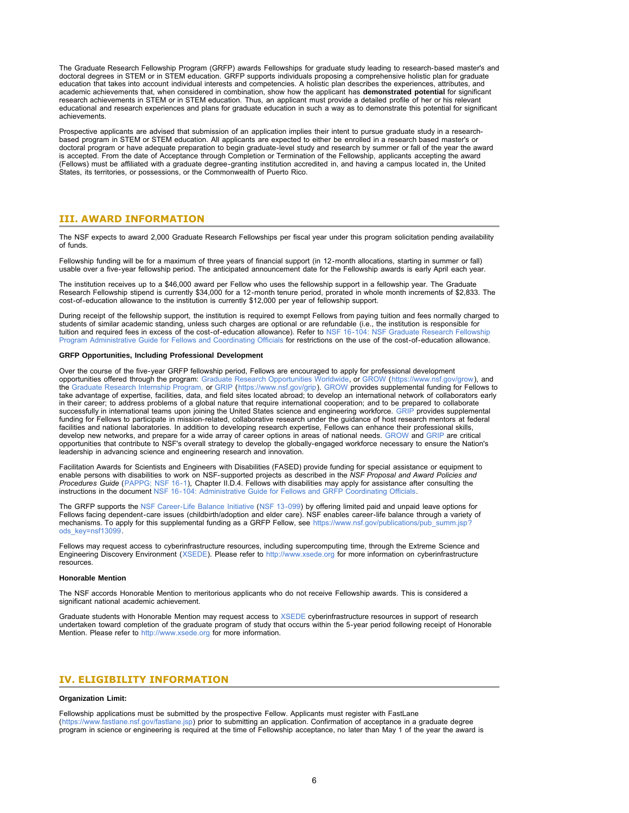The Graduate Research Fellowship Program (GRFP) awards Fellowships for graduate study leading to research-based master's and doctoral degrees in STEM or in STEM education. GRFP supports individuals proposing a comprehensive holistic plan for graduate education that takes into account individual interests and competencies. A holistic plan describes the experiences, attributes, and academic achievements that, when considered in combination, show how the applicant has **demonstrated potential** for significant research achievements in STEM or in STEM education. Thus, an applicant must provide a detailed profile of her or his relevant educational and research experiences and plans for graduate education in such a way as to demonstrate this potential for significant achievements.

Prospective applicants are advised that submission of an application implies their intent to pursue graduate study in a researchbased program in STEM or STEM education. All applicants are expected to either be enrolled in a research based master's or doctoral program or have adequate preparation to begin graduate-level study and research by summer or fall of the year the award is accepted. From the date of Acceptance through Completion or Termination of the Fellowship, applicants accepting the award (Fellows) must be affiliated with a graduate degree-granting institution accredited in, and having a campus located in, the United States, its territories, or possessions, or the Commonwealth of Puerto Rico.

## <span id="page-5-0"></span>**III. AWARD INFORMATION**

The NSF expects to award 2,000 Graduate Research Fellowships per fiscal year under this program solicitation pending availability of funds.

Fellowship funding will be for a maximum of three years of financial support (in 12-month allocations, starting in summer or fall) usable over a five-year fellowship period. The anticipated announcement date for the Fellowship awards is early April each year.

The institution receives up to a \$46,000 award per Fellow who uses the fellowship support in a fellowship year. The Graduate Research Fellowship stipend is currently \$34,000 for a 12-month tenure period, prorated in whole month increments of \$2,833. The cost-of-education allowance to the institution is currently \$12,000 per year of fellowship support.

During receipt of the fellowship support, the institution is required to exempt Fellows from paying tuition and fees normally charged to students of similar academic standing, unless such charges are optional or are refundable (i.e., the institution is responsible for tuition and required fees in excess of the cost-of-education allowance). Refer to [NSF 16-104: NSF Graduate Research Fellowship](https://www.nsf.gov/publications/pub_summ.jsp?ods_key=nsf16104) [Program Administrative Guide for Fellows and Coordinating Officials](https://www.nsf.gov/publications/pub_summ.jsp?ods_key=nsf16104) for restrictions on the use of the cost-of-education allowance.

### **GRFP Opportunities, Including Professional Development**

Over the course of the five-year GRFP fellowship period, Fellows are encouraged to apply for professional development opportunities offered through the program: [Graduate Research Opportunities Worldwide,](https://www.nsf.gov/grow) or [GROW](https://www.nsf.gov/grow) (<https://www.nsf.gov/grow>), and<br>the [Graduate Research Internship Program,](https://www.nsf.gov/grip) or [GRIP](https://www.nsf.gov/grip) (<https://www.nsf.gov/grip>). GROW provides supp take advantage of expertise, facilities, data, and field sites located abroad; to develop an international network of collaborators early in their career; to address problems of a global nature that require international cooperation; and to be prepared to collaborate successfully in international teams upon joining the United States science and engineering workforce. [GRIP](https://www.nsf.gov/grip) provides supplemental funding for Fellows to participate in mission-related, collaborative research under the guidance of host research mentors at federal facilities and national laboratories. In addition to developing research expertise, Fellows can enhance their professional skills, develop new networks, and prepare for a wide array of career options in areas of national needs. [GROW](https://www.nsf.gov/grow) and [GRIP](https://www.nsf.gov/grip) are critical opportunities that contribute to NSF's overall strategy to develop the globally-engaged workforce necessary to ensure the Nation's leadership in advancing science and engineering research and innovation.

Facilitation Awards for Scientists and Engineers with Disabilities (FASED) provide funding for special assistance or equipment to enable persons with disabilities to work on NSF-supported projects as described in the *NSF Proposal and Award Policies and*<br>*Procedures Guide* ([PAPPG; NSF 16-1](https://www.nsf.gov/publications/pub_summ.jsp?ods_key=papp)), Chapter II.D.4. Fellows with disabilities may apply for ass

The GRFP supports the [NSF Career-Life Balance Initiative](https://www.nsf.gov/publications/pub_summ.jsp?ods_key=nsf13099) ([NSF 13-099\)](https://www.nsf.gov/publications/pub_summ.jsp?ods_key=nsf13099) by offering limited paid and unpaid leave options for<br>Fellows facing dependent-care issues (childbirth/adoption and elder care). NSF enables career-life mechanisms. To apply for this supplemental funding as a GRFP Fellow, see [https://www.nsf.gov/publications/pub\\_summ.jsp?](https://www.nsf.gov/publications/pub_summ.jsp?ods_key=nsf13099) [ods\\_key=nsf13099.](https://www.nsf.gov/publications/pub_summ.jsp?ods_key=nsf13099)

Fellows may request access to cyberinfrastructure resources, including supercomputing time, through the Extreme Science and Engineering Discovery Environment ([XSEDE\)](https://www.nsf.gov/cgi-bin/goodbye?http://www.xsede.org). Please refer to [http://www.xsede.org](https://www.nsf.gov/cgi-bin/goodbye?http://www.xsede.org) for more information on cyberinfrastructure resources.

#### **Honorable Mention**

The NSF accords Honorable Mention to meritorious applicants who do not receive Fellowship awards. This is considered a significant national academic achievement.

Graduate students with Honorable Mention may request access to [XSEDE](https://www.nsf.gov/cgi-bin/goodbye?http://www.xsede.org) cyberinfrastructure resources in support of research undertaken toward completion of the graduate program of study that occurs within the 5-year period following receipt of Honorable Mention. Please refer to [http://www.xsede.org f](https://www.nsf.gov/cgi-bin/goodbye?http://www.xsede.org)or more information.

## <span id="page-5-1"></span>**IV. ELIGIBILITY INFORMATION**

#### **Organization Limit:**

Fellowship applications must be submitted by the prospective Fellow. Applicants must register with FastLane (<https://www.fastlane.nsf.gov/fastlane.jsp>) prior to submitting an application. Confirmation of acceptance in a graduate degree<br>program in science or engineering is required at the time of Fellowship acceptance, no later t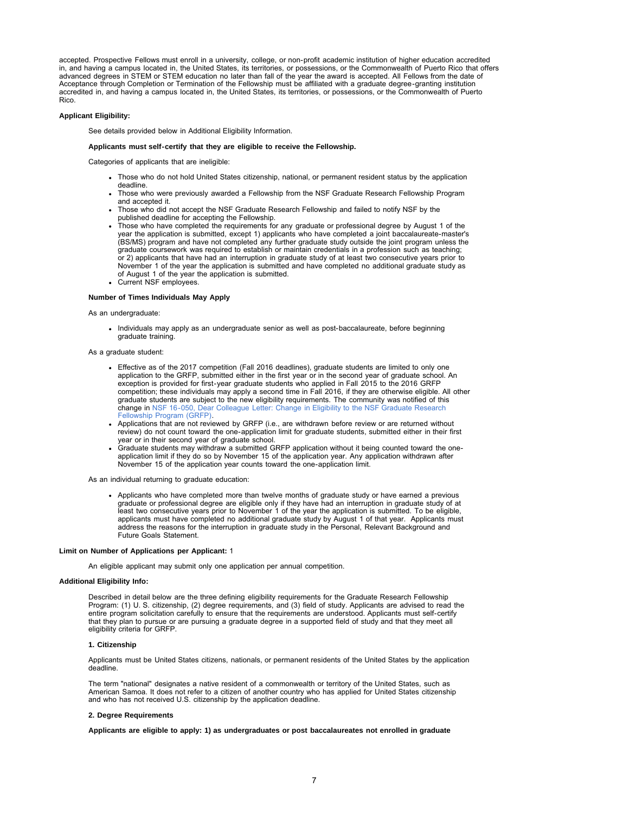accepted. Prospective Fellows must enroll in a university, college, or non-profit academic institution of higher education accredited in, and having a campus located in, the United States, its territories, or possessions, or the Commonwealth of Puerto Rico that offers advanced degrees in STEM or STEM education no later than fall of the year the award is accepted. All Fellows from the date of Acceptance through Completion or Termination of the Fellowship must be affiliated with a graduate degree-granting institution accredited in, and having a campus located in, the United States, its territories, or possessions, or the Commonwealth of Puerto Rico.

#### **Applicant Eligibility:**

See details provided below in Additional Eligibility Information.

### **Applicants must self-certify that they are eligible to receive the Fellowship.**

Categories of applicants that are ineligible:

- Those who do not hold United States citizenship, national, or permanent resident status by the application deadline.
- Those who were previously awarded a Fellowship from the NSF Graduate Research Fellowship Program and accepted it.
- Those who did not accept the NSF Graduate Research Fellowship and failed to notify NSF by the published deadline for accepting the Fellowship.
- Those who have completed the requirements for any graduate or professional degree by August 1 of the year the application is submitted, except 1) applicants who have completed a joint baccalaureate-master's (BS/MS) program and have not completed any further graduate study outside the joint program unless the graduate coursework was required to establish or maintain credentials in a profession such as teaching; or 2) applicants that have had an interruption in graduate study of at least two consecutive years prior to November 1 of the year the application is submitted and have completed no additional graduate study as of August 1 of the year the application is submitted.
- Current NSF employees.

## **Number of Times Individuals May Apply**

As an undergraduate:

- Individuals may apply as an undergraduate senior as well as post-baccalaureate, before beginning graduate training.
- As a graduate student:
	- Effective as of the 2017 competition (Fall 2016 deadlines), graduate students are limited to only one application to the GRFP, submitted either in the first year or in the second year of graduate school. An exception is provided for first-year graduate students who applied in Fall 2015 to the 2016 GRFP competition; these individuals may apply a second time in Fall 2016, if they are otherwise eligible. All other graduate students are subject to the new eligibility requirements. The community was notified of this change in [NSF 16-050, Dear Colleague Letter: Change in Eligibility to the NSF Graduate Research](https://www.nsf.gov/publications/pub_summ.jsp?ods_key=nsf16050) [Fellowship Program \(GRFP\).](https://www.nsf.gov/publications/pub_summ.jsp?ods_key=nsf16050)
	- Applications that are not reviewed by GRFP (i.e., are withdrawn before review or are returned without review) do not count toward the one-application limit for graduate students, submitted either in their first year or in their second year of graduate school.
	- Graduate students may withdraw a submitted GRFP application without it being counted toward the oneapplication limit if they do so by November 15 of the application year. Any application withdrawn after November 15 of the application year counts toward the one-application limit.

As an individual returning to graduate education:

Applicants who have completed more than twelve months of graduate study or have earned a previous graduate or professional degree are eligible only if they have had an interruption in graduate study of at least two consecutive years prior to November 1 of the year the application is submitted. To be eligible, applicants must have completed no additional graduate study by August 1 of that year. Applicants must address the reasons for the interruption in graduate study in the Personal, Relevant Background and Future Goals Statement.

#### **Limit on Number of Applications per Applicant:** 1

An eligible applicant may submit only one application per annual competition.

## **Additional Eligibility Info:**

Described in detail below are the three defining eligibility requirements for the Graduate Research Fellowship Program: (1) U. S. citizenship, (2) degree requirements, and (3) field of study. Applicants are advised to read the entire program solicitation carefully to ensure that the requirements are understood. Applicants must self-certify that they plan to pursue or are pursuing a graduate degree in a supported field of study and that they meet all eligibility criteria for GRFP.

#### **1. Citizenship**

Applicants must be United States citizens, nationals, or permanent residents of the United States by the application deadline.

The term "national" designates a native resident of a commonwealth or territory of the United States, such as American Samoa. It does not refer to a citizen of another country who has applied for United States citizenship and who has not received U.S. citizenship by the application deadline.

#### **2. Degree Requirements**

**Applicants are eligible to apply: 1) as undergraduates or post baccalaureates not enrolled in graduate**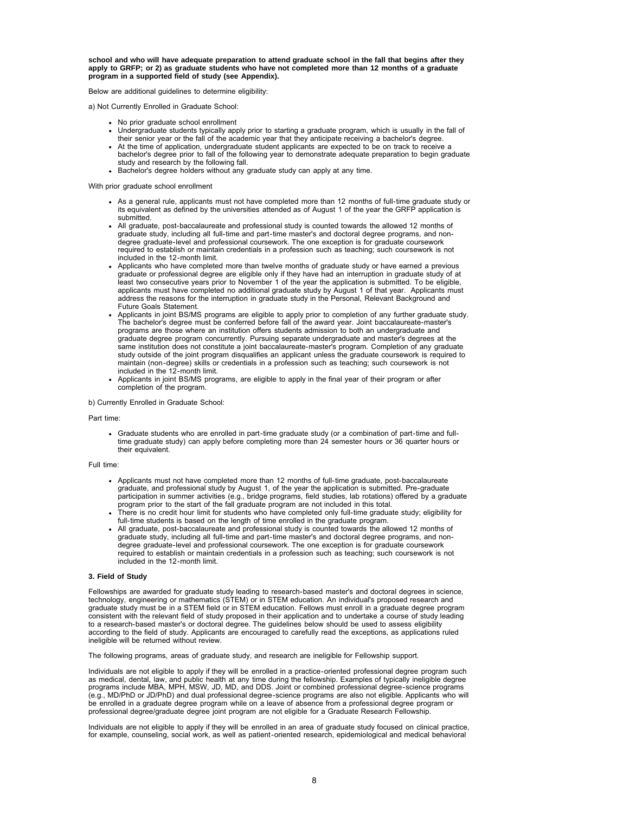**school and who will have adequate preparation to attend graduate school in the fall that begins after they apply to GRFP; or 2) as graduate students who have not completed more than 12 months of a graduate program in a supported field of study (see Appendix).**

Below are additional guidelines to determine eligibility:

a) Not Currently Enrolled in Graduate School:

- No prior graduate school enrollment
- Undergraduate students typically apply prior to starting a graduate program, which is usually in the fall of their senior year or the fall of the academic year that they anticipate receiving a bachelor's degree.
- At the time of application, undergraduate student applicants are expected to be on track to receive a bachelor's degree prior to fall of the following year to demonstrate adequate preparation to begin graduate study and research by the following fall.
- Bachelor's degree holders without any graduate study can apply at any time.

With prior graduate school enrollment

- As a general rule, applicants must not have completed more than 12 months of full-time graduate study or its equivalent as defined by the universities attended as of August 1 of the year the GRFP application is submitted.
- All graduate, post-baccalaureate and professional study is counted towards the allowed 12 months of graduate study, including all full-time and part-time master's and doctoral degree programs, and nondegree graduate-level and professional coursework. The one exception is for graduate coursework required to establish or maintain credentials in a profession such as teaching; such coursework is not included in the 12-month limit.
- Applicants who have completed more than twelve months of graduate study or have earned a previous graduate or professional degree are eligible only if they have had an interruption in graduate study of at least two consecutive years prior to November 1 of the year the application is submitted. To be eligible, applicants must have completed no additional graduate study by August 1 of that year. Applicants must address the reasons for the interruption in graduate study in the Personal, Relevant Background and Future Goals Statement.
- Applicants in joint BS/MS programs are eligible to apply prior to completion of any further graduate study. The bachelor's degree must be conferred before fall of the award year. Joint baccalaureate-master's programs are those where an institution offers students admission to both an undergraduate and graduate degree program concurrently. Pursuing separate undergraduate and master's degrees at the same institution does not constitute a joint baccalaureate-master's program. Completion of any graduate study outside of the joint program disqualifies an applicant unless the graduate coursework is required to maintain (non-degree) skills or credentials in a profession such as teaching; such coursework is not included in the 12-month limit.
- Applicants in joint BS/MS programs, are eligible to apply in the final year of their program or after completion of the program.

#### b) Currently Enrolled in Graduate School:

#### Part time:

Graduate students who are enrolled in part-time graduate study (or a combination of part-time and fulltime graduate study) can apply before completing more than 24 semester hours or 36 quarter hours or their equivalent.

#### Full time:

- Applicants must not have completed more than 12 months of full-time graduate, post-baccalaureate graduate, and professional study by August 1, of the year the application is submitted. Pre-graduate participation in summer activities (e.g., bridge programs, field studies, lab rotations) offered by a graduate
- program prior to the start of the fall graduate program are not included in this total. There is no credit hour limit for students who have completed only full-time graduate study; eligibility for full-time students is based on the length of time enrolled in the graduate program.
- All graduate, post-baccalaureate and professional study is counted towards the allowed 12 months of graduate study, including all full-time and part-time master's and doctoral degree programs, and nondegree graduate-level and professional coursework. The one exception is for graduate coursework required to establish or maintain credentials in a profession such as teaching; such coursework is not included in the 12-month limit.

#### **3. Field of Study**

Fellowships are awarded for graduate study leading to research-based master's and doctoral degrees in science, technology, engineering or mathematics (STEM) or in STEM education. An individual's proposed research and graduate study must be in a STEM field or in STEM education. Fellows must enroll in a graduate degree program consistent with the relevant field of study proposed in their application and to undertake a course of study leading to a research-based master's or doctoral degree. The guidelines below should be used to assess eligibility according to the field of study. Applicants are encouraged to carefully read the exceptions, as applications ruled ineligible will be returned without review.

The following programs, areas of graduate study, and research are ineligible for Fellowship support.

Individuals are not eligible to apply if they will be enrolled in a practice-oriented professional degree program such as medical, dental, law, and public health at any time during the fellowship. Examples of typically ineligible degree programs include MBA, MPH, MSW, JD, MD, and DDS. Joint or combined professional degree-science programs (e.g., MD/PhD or JD/PhD) and dual professional degree-science programs are also not eligible. Applicants who will be enrolled in a graduate degree program while on a leave of absence from a professional degree program or professional degree/graduate degree joint program are not eligible for a Graduate Research Fellowship.

Individuals are not eligible to apply if they will be enrolled in an area of graduate study focused on clinical practice, for example, counseling, social work, as well as patient-oriented research, epidemiological and medical behavioral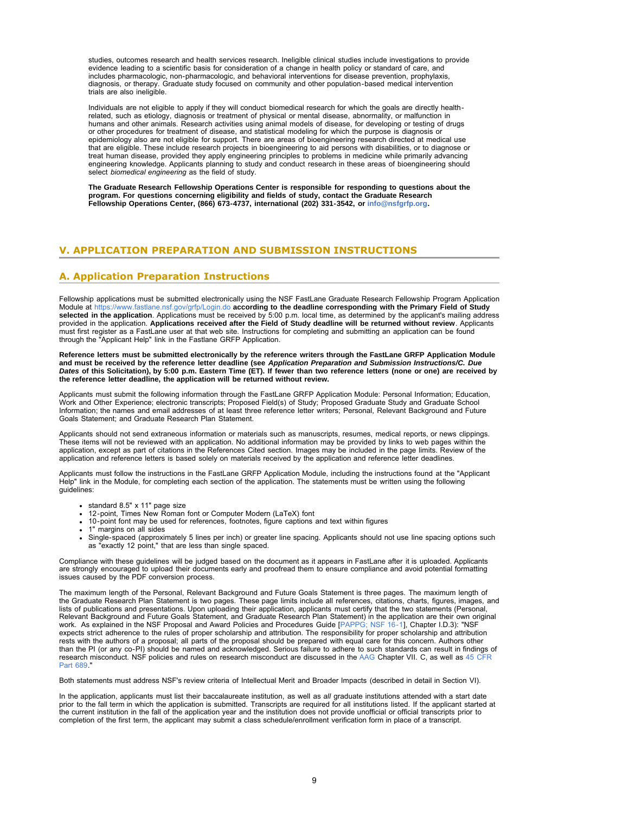studies, outcomes research and health services research. Ineligible clinical studies include investigations to provide evidence leading to a scientific basis for consideration of a change in health policy or standard of care, and includes pharmacologic, non-pharmacologic, and behavioral interventions for disease prevention, prophylaxis, diagnosis, or therapy. Graduate study focused on community and other population-based medical intervention trials are also ineligible.

Individuals are not eligible to apply if they will conduct biomedical research for which the goals are directly healthrelated, such as etiology, diagnosis or treatment of physical or mental disease, abnormality, or malfunction in humans and other animals. Research activities using animal models of disease, for developing or testing of drugs or other procedures for treatment of disease, and statistical modeling for which the purpose is diagnosis or epidemiology also are not eligible for support. There are areas of bioengineering research directed at medical use that are eligible. These include research projects in bioengineering to aid persons with disabilities, or to diagnose or treat human disease, provided they apply engineering principles to problems in medicine while primarily advancing engineering knowledge. Applicants planning to study and conduct research in these areas of bioengineering should select *biomedical engineering* as the field of study.

**The Graduate Research Fellowship Operations Center is responsible for responding to questions about the program. For questions concerning eligibility and fields of study, contact the Graduate Research Fellowship Operations Center, (866) 673-4737, international (202) 331-3542, or [info@nsfgrfp.org.](mailto:info@nsfgrfp.org)**

## <span id="page-8-0"></span>**V. APPLICATION PREPARATION AND SUBMISSION INSTRUCTIONS**

## <span id="page-8-1"></span>**A. Application Preparation Instructions**

Fellowship applications must be submitted electronically using the NSF FastLane Graduate Research Fellowship Program Application<br>Module at <https://www.fastlane.nsf.gov/grfp/Login.do> **according to the deadline corresponding selected in the application**. Applications must be received by 5:00 p.m. local time, as determined by the applicant's mailing address<br>provided in the application. **Applications received after the Field of Study deadline w** must first register as a FastLane user at that web site. Instructions for completing and submitting an application can be found through the "Applicant Help" link in the Fastlane GRFP Application.

**Reference letters must be submitted electronically by the reference writers through the FastLane GRFP Application Module** and must be received by the reference letter deadline (see *Application Preparation and Submission Instructions/C. Due*<br>*Dates* of this Solicitation), by 5:00 p.m. Eastern Time (ET). If fewer than two reference letters (no **the reference letter deadline, the application will be returned without review.**

Applicants must submit the following information through the FastLane GRFP Application Module: Personal Information; Education,<br>Work and Other Experience; electronic transcripts; Proposed Field(s) of Study; Proposed Gradua Goals Statement; and Graduate Research Plan Statement.

Applicants should not send extraneous information or materials such as manuscripts, resumes, medical reports, or news clippings. These items will not be reviewed with an application. No additional information may be provided by links to web pages within the<br>application, except as part of citations in the References Cited section. Images may be inclu application and reference letters is based solely on materials received by the application and reference letter deadlines.

Applicants must follow the instructions in the FastLane GRFP Application Module, including the instructions found at the "Applicant Help" link in the Module, for completing each section of the application. The statements must be written using the following guidelines:

- 
- standard 8.5" x 11" page size 12-point, Times New Roman font or Computer Modern (LaTeX) font
- 10-point font may be used for references, footnotes, figure captions and text within figures
- 1" margins on all sides
- Single-spaced (approximately 5 lines per inch) or greater line spacing. Applicants should not use line spacing options such as "exactly 12 point," that are less than single spaced.

Compliance with these guidelines will be judged based on the document as it appears in FastLane after it is uploaded. Applicants are strongly encouraged to upload their documents early and proofread them to ensure compliance and avoid potential formatting issues caused by the PDF conversion process.

The maximum length of the Personal, Relevant Background and Future Goals Statement is three pages. The maximum length of the Graduate Research Plan Statement is two pages. These page limits include all references, citations, charts, figures, images, and lists of publications and presentations. Upon uploading their application, applicants must certify that the two statements (Personal, Relevant Background and Future Goals Statement, and Graduate Research Plan Statement) in the application are their own original work. As explained in the NSF Proposal and Award Policies and Procedures Guide [\[PAPPG; NSF 16-1](https://www.nsf.gov/publications/pub_summ.jsp?ods_key=papp)], Chapter I.D.3): "NSF expects strict adherence to the rules of proper scholarship and attribution. The responsibility for proper scholarship and attribution rests with the authors of a proposal; all parts of the proposal should be prepared with equal care for this concern. Authors other than the PI (or any co-PI) should be named and acknowledged. Serious failure to adhere to such standards can result in findings of research misconduct. NSF policies and rules on research misconduct are discussed in the [AAG](https://www.nsf.gov/publications/pub_summ.jsp?ods_key=aag) Chapter VII. C, as well as 45 CF [Part 689.](https://www.gpo.gov/fdsys/pkg/CFR-2002-title45-vol1/content-detail.html)"

Both statements must address NSF's review criteria of Intellectual Merit and Broader Impacts (described in detail in Section VI).

In the application, applicants must list their baccalaureate institution, as well as *all* graduate institutions attended with a start date prior to the fall term in which the application is submitted. Transcripts are required for all institutions listed. If the applicant started at the current institution in the fall of the application year and the institution does not provide unofficial or official transcripts prior to completion of the first term, the applicant may submit a class schedule/enrollment verification form in place of a transcript.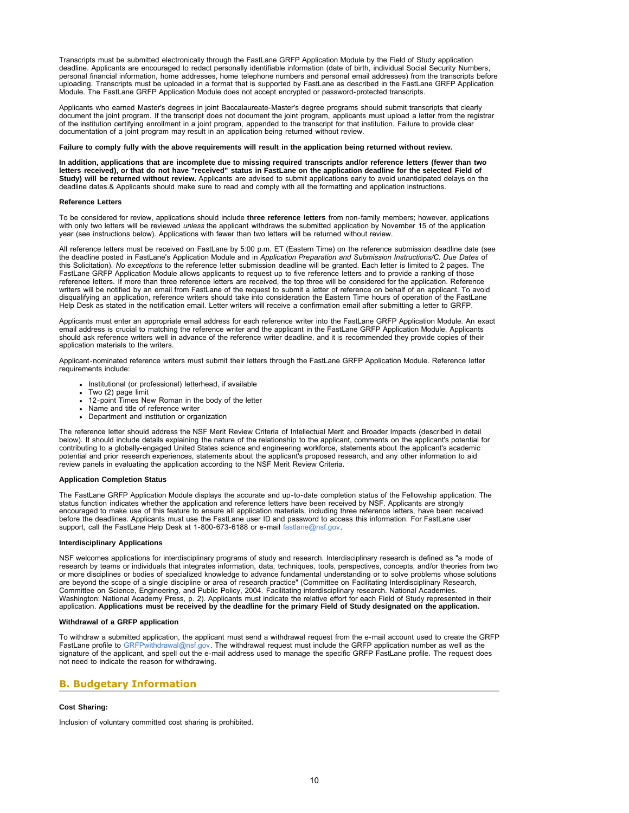Transcripts must be submitted electronically through the FastLane GRFP Application Module by the Field of Study application deadline. Applicants are encouraged to redact personally identifiable information (date of birth, individual Social Security Numbers, personal financial information, home addresses, home telephone numbers and personal email addresses) from the transcripts before uploading. Transcripts must be uploaded in a format that is supported by FastLane as described in the FastLane GRFP Application Module. The FastLane GRFP Application Module does not accept encrypted or password-protected transcripts.

Applicants who earned Master's degrees in joint Baccalaureate-Master's degree programs should submit transcripts that clearly document the joint program. If the transcript does not document the joint program, applicants must upload a letter from the registrar<br>of the institution certifying enrollment in a joint program, appended to the transcript documentation of a joint program may result in an application being returned without review.

#### **Failure to comply fully with the above requirements will result in the application being returned without review.**

**In addition, applications that are incomplete due to missing required transcripts and/or reference letters (fewer than two letters received), or that do not have "received" status in FastLane on the application deadline for the selected Field of Study) will be returned without review.** Applicants are advised to submit applications early to avoid unanticipated delays on the deadline dates.& Applicants should make sure to read and comply with all the formatting and application instructions.

#### **Reference Letters**

To be considered for review, applications should include **three reference letters** from non-family members; however, applications with only two letters will be reviewed *unless* the applicant withdraws the submitted application by November 15 of the application year (see instructions below). Applications with fewer than two letters will be returned without review.

All reference letters must be received on FastLane by 5:00 p.m. ET (Eastern Time) on the reference submission deadline date (see the deadline posted in FastLane's Application Module and in *Application Preparation and Submission Instructions/C. Due Dates* of this Solicitation). *No exceptions* to the reference letter submission deadline will be granted. Each letter is limited to 2 pages. The FastLane GRFP Application Module allows applicants to request up to five reference letters and to provide a ranking of those reference letters. If more than three reference letters are received, the top three will be considered for the application. Reference writers will be notified by an email from FastLane of the request to submit a letter of reference on behalf of an applicant. To avoid disqualifying an application, reference writers should take into consideration the Eastern Time hours of operation of the FastLane Help Desk as stated in the notification email. Letter writers will receive a confirmation email after submitting a letter to GRFP.

Applicants must enter an appropriate email address for each reference writer into the FastLane GRFP Application Module. An exact email address is crucial to matching the reference writer and the applicant in the FastLane GRFP Application Module. Applicants should ask reference writers well in advance of the reference writer deadline, and it is recommended they provide copies of their application materials to the writers.

Applicant-nominated reference writers must submit their letters through the FastLane GRFP Application Module. Reference letter requirements include:

- Institutional (or professional) letterhead, if available
- Two (2) page limit  $\bullet$
- 12-point Times New Roman in the body of the letter
- Name and title of reference writer
- Department and institution or organization

The reference letter should address the NSF Merit Review Criteria of Intellectual Merit and Broader Impacts (described in detail below). It should include details explaining the nature of the relationship to the applicant, comments on the applicant's potential for<br>contributing to a globally-engaged United States science and engineering workforce, st potential and prior research experiences, statements about the applicant's proposed research, and any other information to aid review panels in evaluating the application according to the NSF Merit Review Criteria.

### **Application Completion Status**

The FastLane GRFP Application Module displays the accurate and up-to-date completion status of the Fellowship application. The status function indicates whether the application and reference letters have been received by NSF. Applicants are strongly encouraged to make use of this feature to ensure all application materials, including three reference letters, have been received before the deadlines. Applicants must use the FastLane user ID and password to access this information. For FastLane user support, call the FastLane Help Desk at 1-800-673-6188 or e-mail [fastlane@nsf.gov.](mailto:fastlane@nsf.gov)

### **Interdisciplinary Applications**

NSF welcomes applications for interdisciplinary programs of study and research. Interdisciplinary research is defined as "a mode of research by teams or individuals that integrates information, data, techniques, tools, perspectives, concepts, and/or theories from two or more disciplines or bodies of specialized knowledge to advance fundamental understanding or to solve problems whose solutions are beyond the scope of a single discipline or area of research practice" (Committee on Facilitating Interdisciplinary Research, Committee on Science, Engineering, and Public Policy, 2004. Facilitating interdisciplinary research. National Academies. Washington: National Academy Press, p. 2). Applicants must indicate the relative effort for each Field of Study represented in their application. **Applications must be received by the deadline for the primary Field of Study designated on the application.**

#### **Withdrawal of a GRFP application**

To withdraw a submitted application, the applicant must send a withdrawal request from the e-mail account used to create the GRFP FastLane profile to [GRFPwithdrawal@nsf.gov](mailto:GRFPwithdrawal@nsf.gov). The withdrawal request must include the GRFP application number as well as the signature of the applicant, and spell out the e-mail address used to manage the specific GRFP FastLane profile. The request does not need to indicate the reason for withdrawing.

## <span id="page-9-0"></span>**B. Budgetary Information**

#### **Cost Sharing:**

Inclusion of voluntary committed cost sharing is prohibited.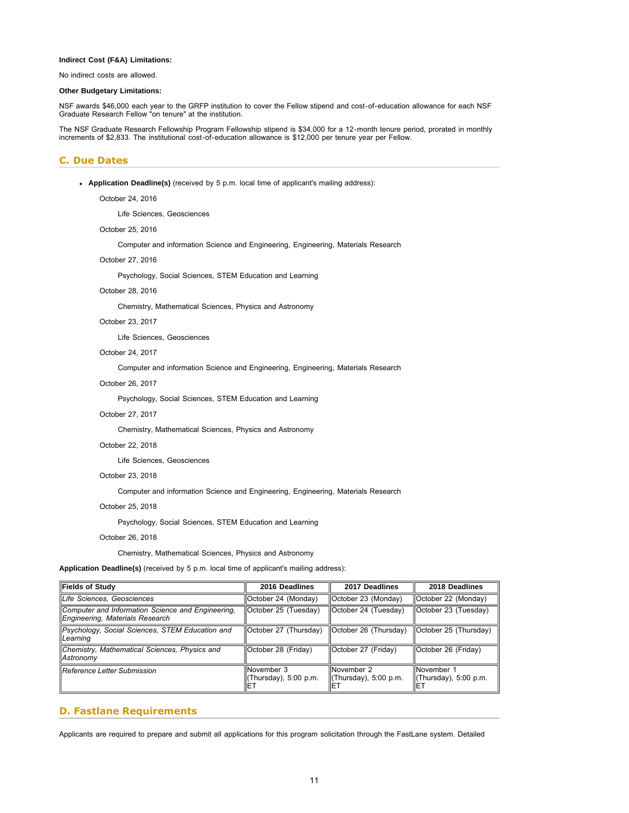### **Indirect Cost (F&A) Limitations:**

No indirect costs are allowed.

### **Other Budgetary Limitations:**

NSF awards \$46,000 each year to the GRFP institution to cover the Fellow stipend and cost-of-education allowance for each NSF Graduate Research Fellow "on tenure" at the institution.

The NSF Graduate Research Fellowship Program Fellowship stipend is \$34,000 for a 12-month tenure period, prorated in monthly increments of \$2,833. The institutional cost-of-education allowance is \$12,000 per tenure year per Fellow.

## <span id="page-10-0"></span>**C. Due Dates**

**Application Deadline(s)** (received by 5 p.m. local time of applicant's mailing address):

October 24, 2016

Life Sciences, Geosciences

October 25, 2016

Computer and information Science and Engineering, Engineering, Materials Research

### October 27, 2016

Psychology, Social Sciences, STEM Education and Learning

### October 28, 2016

Chemistry, Mathematical Sciences, Physics and Astronomy

### October 23, 2017

Life Sciences, Geosciences

### October 24, 2017

Computer and information Science and Engineering, Engineering, Materials Research

### October 26, 2017

Psychology, Social Sciences, STEM Education and Learning

## October 27, 2017

Chemistry, Mathematical Sciences, Physics and Astronomy

### October 22, 2018

Life Sciences, Geosciences

### October 23, 2018

Computer and information Science and Engineering, Engineering, Materials Research

## October 25, 2018

Psychology, Social Sciences, STEM Education and Learning

#### October 26, 2018

Chemistry, Mathematical Sciences, Physics and Astronomy

**Application Deadline(s)** (received by 5 p.m. local time of applicant's mailing address):

| Fields of Study                                                                      | 2016 Deadlines                                    | 2017 Deadlines                                     | 2018 Deadlines                                          |  |  |  |
|--------------------------------------------------------------------------------------|---------------------------------------------------|----------------------------------------------------|---------------------------------------------------------|--|--|--|
| Life Sciences, Geosciences                                                           | October 24 (Monday)                               | lOctober 23 (Monday)                               | October 22 (Monday)                                     |  |  |  |
| Computer and Information Science and Engineering,<br>Engineering, Materials Research | October 25 (Tuesday)                              | <b>October 24 (Tuesday)</b>                        | October 23 (Tuesday)                                    |  |  |  |
| Psychology, Social Sciences, STEM Education and<br><i><b>Learning</b></i>            | October 27 (Thursday)                             | <b>October 26 (Thursday)</b>                       | October 25 (Thursday)                                   |  |  |  |
| Chemistry, Mathematical Sciences, Physics and<br>  Astronomy                         | October 28 (Friday)                               | <b>October 27 (Friday)</b>                         | October 26 (Friday)                                     |  |  |  |
| llReference Letter Submission                                                        | <b>November 3</b><br>(Thursday), 5:00 p.m.<br>IΕT | <b>INovember 2</b><br>(Thursday), 5:00 p.m.<br>IET | INovember 1<br>$\parallel$ (Thursday), 5:00 p.m.<br>IET |  |  |  |

## <span id="page-10-1"></span>**D. Fastlane Requirements**

Applicants are required to prepare and submit all applications for this program solicitation through the FastLane system. Detailed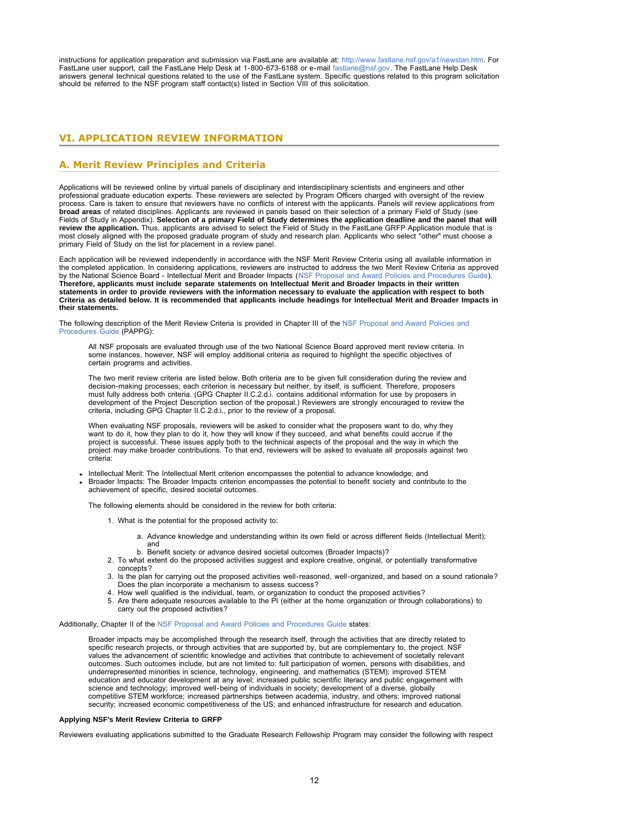instructions for application preparation and submission via FastLane are available at: [http://www.fastlane.nsf.gov/a1/newstan.htm.](http://www.fastlane.nsf.gov/a1/newstan.htm) For FastLane user support, call the FastLane Help Desk at 1-800-673-6188 or e-mail [fastlane@nsf.gov.](mailto:fastlane@nsf.gov) The FastLane Help Desk answers general technical questions related to the use of the FastLane system. Specific questions related to this program solicitation should be referred to the NSF program staff contact(s) listed in Section VIII of this solicitation.

## <span id="page-11-0"></span>**VI. APPLICATION REVIEW INFORMATION**

## <span id="page-11-1"></span>**A. Merit Review Principles and Criteria**

Applications will be reviewed online by virtual panels of disciplinary and interdisciplinary scientists and engineers and other<br>professional graduate education experts. These reviewers are selected by Program Officers char process. Care is taken to ensure that reviewers have no conflicts of interest with the applicants. Panels will review applications from **broad areas** of related disciplines. Applicants are reviewed in panels based on their selection of a primary Field of Study (see Fields of Study in Appendix). **Selection of a primary Field of Study determines the application deadline and the panel that will review the application.** Thus, applicants are advised to select the Field of Study in the FastLane GRFP Application module that is most closely aligned with the proposed graduate program of study and research plan. Applicants who select "other" must choose a primary Field of Study on the list for placement in a review panel.

Each application will be reviewed independently in accordance with the NSF Merit Review Criteria using all available information in the completed application. In considering applications, reviewers are instructed to address the two Merit Review Criteria as approved<br>by the National Science Board - Intellectual Merit and Broader Impacts (NSF Proposal and **Therefore, applicants must include separate statements on Intellectual Merit and Broader Impacts in their written statements in order to provide reviewers with the information necessary to evaluate the application with respect to both Criteria as detailed below. It is recommended that applicants include headings for Intellectual Merit and Broader Impacts in their statements.**

The following description of the Merit Review Criteria is provided in Chapter III of the [NSF Proposal and Award Policies and](https://www.nsf.gov/publications/pub_summ.jsp?ods_key=papp) [Procedures Guide](https://www.nsf.gov/publications/pub_summ.jsp?ods_key=papp) (PAPPG):

All NSF proposals are evaluated through use of the two National Science Board approved merit review criteria. In some instances, however, NSF will employ additional criteria as required to highlight the specific objectives of certain programs and activities.

The two merit review criteria are listed below. Both criteria are to be given full consideration during the review and decision-making processes; each criterion is necessary but neither, by itself, is sufficient. Therefore, proposers must fully address both criteria. (GPG Chapter II.C.2.d.i. contains additional information for use by proposers in development of the Project Description section of the proposal.) Reviewers are strongly encouraged to review the criteria, including GPG Chapter II.C.2.d.i., prior to the review of a proposal.

When evaluating NSF proposals, reviewers will be asked to consider what the proposers want to do, why they want to do it, how they plan to do it, how they will know if they succeed, and what benefits could accrue if the project is successful. These issues apply both to the technical aspects of the proposal and the way in which the<br>project may make broader contributions. To that end, reviewers will be asked to evaluate all proposals agains criteria:

- Intellectual Merit: The Intellectual Merit criterion encompasses the potential to advance knowledge; and Broader Impacts: The Broader Impacts criterion encompasses the potential to benefit society and contribute to the
	- achievement of specific, desired societal outcomes.

The following elements should be considered in the review for both criteria:

1. What is the potential for the proposed activity to:

- a. Advance knowledge and understanding within its own field or across different fields (Intellectual Merit); and
- b. Benefit society or advance desired societal outcomes (Broader Impacts)?
- 2. To what extent do the proposed activities suggest and explore creative, original, or potentially transformative concepts?
- 3. Is the plan for carrying out the proposed activities well-reasoned, well-organized, and based on a sound rationale? Does the plan incorporate a mechanism to assess success?
- 4. How well qualified is the individual, team, or organization to conduct the proposed activities?
- 5. Are there adequate resources available to the PI (either at the home organization or through collaborations) to carry out the proposed activities?

Additionally, Chapter II of the [NSF Proposal and Award Policies and Procedures Guide](https://www.nsf.gov/publications/pub_summ.jsp?ods_key=papp) states:

Broader impacts may be accomplished through the research itself, through the activities that are directly related to specific research projects, or through activities that are supported by, but are complementary to, the project. NSF values the advancement of scientific knowledge and activities that contribute to achievement of societally relevant outcomes. Such outcomes include, but are not limited to: full participation of women, persons with disabilities, and underrepresented minorities in science, technology, engineering, and mathematics (STEM); improved STEM education and educator development at any level; increased public scientific literacy and public engagement with science and technology; improved well-being of individuals in society; development of a diverse, globally competitive STEM workforce; increased partnerships between academia, industry, and others; improved national security; increased economic competitiveness of the US; and enhanced infrastructure for research and education.

#### **Applying NSF's Merit Review Criteria to GRFP**

Reviewers evaluating applications submitted to the Graduate Research Fellowship Program may consider the following with respect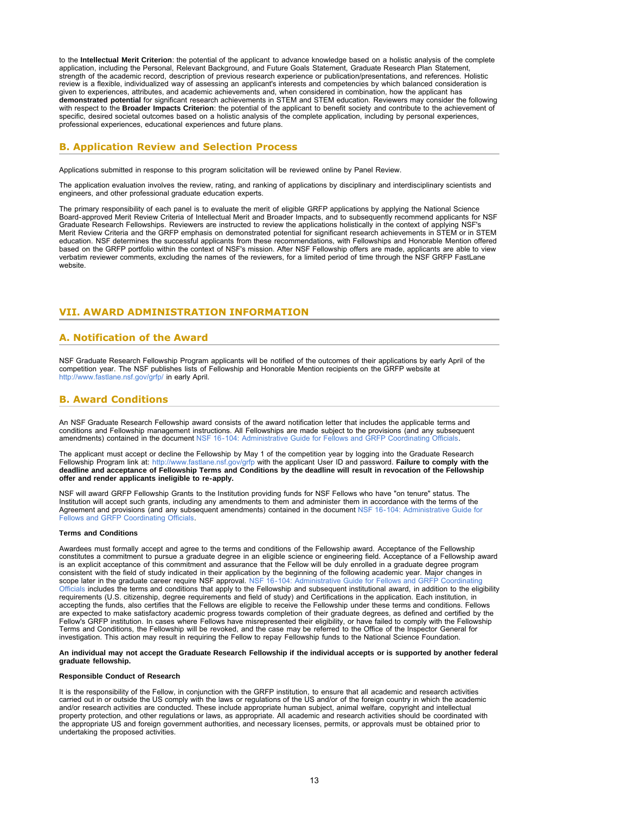to the **Intellectual Merit Criterion**: the potential of the applicant to advance knowledge based on a holistic analysis of the complete application, including the Personal, Relevant Background, and Future Goals Statement, Graduate Research Plan Statement, strength of the academic record, description of previous research experience or publication/presentations, and references. Holistic review is a flexible, individualized way of assessing an applicant's interests and competencies by which balanced consideration is given to experiences, attributes, and academic achievements and, when considered in combination, how the applicant has **demonstrated potential** for significant research achievements in STEM and STEM education. Reviewers may consider the following with respect to the **Broader Impacts Criterion**: the potential of the applicant to benefit society and contribute to the achievement of specific, desired societal outcomes based on a holistic analysis of the complete application, including by personal experiences, professional experiences, educational experiences and future plans.

## <span id="page-12-0"></span>**B. Application Review and Selection Process**

Applications submitted in response to this program solicitation will be reviewed online by Panel Review.

The application evaluation involves the review, rating, and ranking of applications by disciplinary and interdisciplinary scientists and engineers, and other professional graduate education experts.

The primary responsibility of each panel is to evaluate the merit of eligible GRFP applications by applying the National Science Board-approved Merit Review Criteria of Intellectual Merit and Broader Impacts, and to subsequently recommend applicants for NSF Graduate Research Fellowships. Reviewers are instructed to review the applications holistically in the context of applying NSF's Merit Review Criteria and the GRFP emphasis on demonstrated potential for significant research achievements in STEM or in STEM education. NSF determines the successful applicants from these recommendations, with Fellowships and Honorable Mention offered based on the GRFP portfolio within the context of NSF's mission. After NSF Fellowship offers are made, applicants are able to view verbatim reviewer comments, excluding the names of the reviewers, for a limited period of time through the NSF GRFP FastLane website.

## <span id="page-12-1"></span>**VII. AWARD ADMINISTRATION INFORMATION**

## <span id="page-12-2"></span>**A. Notification of the Award**

NSF Graduate Research Fellowship Program applicants will be notified of the outcomes of their applications by early April of the competition year. The NSF publishes lists of Fellowship and Honorable Mention recipients on the GRFP website at <http://www.fastlane.nsf.gov/grfp/>in early April.

## <span id="page-12-3"></span>**B. Award Conditions**

An NSF Graduate Research Fellowship award consists of the award notification letter that includes the applicable terms and conditions and Fellowship management instructions. All Fellowships are made subject to the provisions (and any subsequent amendments) contained in the document NSF 16-104: Administrative Guide for Fellows and GRFP Coordinating

The applicant must accept or decline the Fellowship by May 1 of the competition year by logging into the Graduate Research Fellowship Program link at:<http://www.fastlane.nsf.gov/grfp> with the applicant User ID and password. **Failure to comply with the**<br>deadline and acceptance of Fellowship Terms and Conditions by the deadline will result in r **offer and render applicants ineligible to re-apply.**

NSF will award GRFP Fellowship Grants to the Institution providing funds for NSF Fellows who have "on tenure" status. The Institution will accept such grants, including any amendments to them and administer them in accordance with the terms of the Agreement and provisions (and any subsequent amendments) contained in the document [NSF 16-104: Administrative Guide for](https://www.nsf.gov/publications/pub_summ.jsp?ods_key=nsf13085) [Fellows and GRFP Coordinating Officials.](https://www.nsf.gov/publications/pub_summ.jsp?ods_key=nsf13085)

#### **Terms and Conditions**

Awardees must formally accept and agree to the terms and conditions of the Fellowship award. Acceptance of the Fellowship constitutes a commitment to pursue a graduate degree in an eligible science or engineering field. Acceptance of a Fellowship award is an explicit acceptance of this commitment and assurance that the Fellow will be duly enrolled in a graduate degree program consistent with the field of study indicated in their application by the beginning of the following academic year. Major changes in scope later in the graduate career require NSF approval. [NSF 16-104: Administrative Guide for Fellows and GRFP Coordinating](https://www.nsf.gov/publications/pub_summ.jsp?ods_key=nsf16104) [Officials](https://www.nsf.gov/publications/pub_summ.jsp?ods_key=nsf16104) includes the terms and conditions that apply to the Fellowship and subsequent institutional award, in addition to the eligibility requirements (U.S. citizenship, degree requirements and field of study) and Certifications in the application. Each institution, in<br>accepting the funds, also certifies that the Fellows are eligible to receive the Fellowshi are expected to make satisfactory academic progress towards completion of their graduate degrees, as defined and certified by the<br>Fellow's GRFP institution. In cases where Fellows have misrepresented their eligibility, or Terms and Conditions, the Fellowship will be revoked, and the case may be referred to the Office of the Inspector General for<br>investigation. This action may result in requiring the Fellow to repay Fellowship funds to the N

#### **An individual may not accept the Graduate Research Fellowship if the individual accepts or is supported by another federal graduate fellowship.**

#### **Responsible Conduct of Research**

It is the responsibility of the Fellow, in conjunction with the GRFP institution, to ensure that all academic and research activities carried out in or outside the US comply with the laws or regulations of the US and/or of the foreign country in which the academic and/or research activities are conducted. These include appropriate human subject, animal welfare, copyright and intellectual property protection, and other regulations or laws, as appropriate. All academic and research activities should be coordinated with the appropriate US and foreign government authorities, and necessary licenses, permits, or approvals must be obtained prior to undertaking the proposed activities.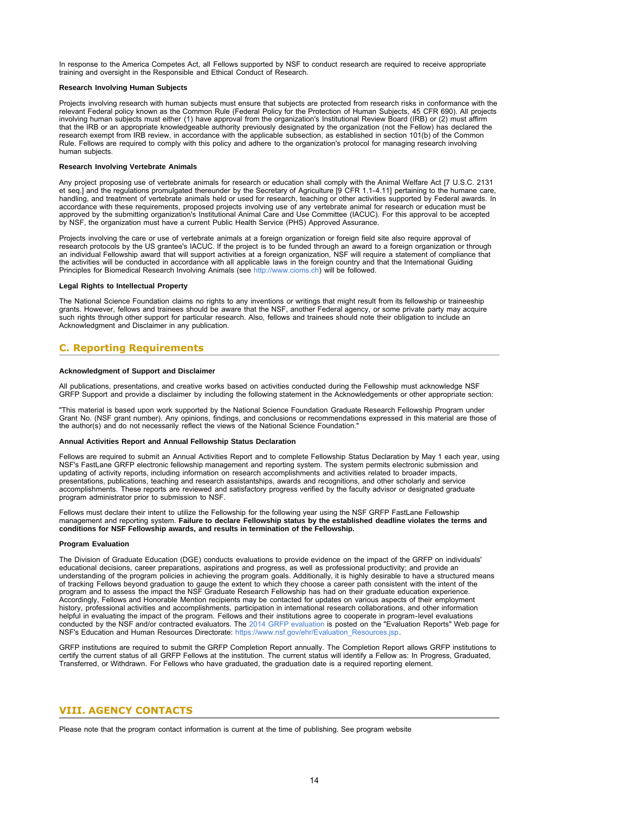In response to the America Competes Act, all Fellows supported by NSF to conduct research are required to receive appropriate training and oversight in the Responsible and Ethical Conduct of Research.

### **Research Involving Human Subjects**

Projects involving research with human subjects must ensure that subjects are protected from research risks in conformance with the relevant Federal policy known as the Common Rule (Federal Policy for the Protection of Human Subjects, 45 CFR 690). All projects involving human subjects must either (1) have approval from the organization's Institutional Review Board (IRB) or (2) must affirm that the IRB or an appropriate knowledgeable authority previously designated by the organization (not the Fellow) has declared the research exempt from IRB review, in accordance with the applicable subsection, as established in section 101(b) of the Common Rule. Fellows are required to comply with this policy and adhere to the organization's protocol for managing research involving human subjects.

#### **Research Involving Vertebrate Animals**

Any project proposing use of vertebrate animals for research or education shall comply with the Animal Welfare Act [7 U.S.C. 2131 et seq.] and the regulations promulgated thereunder by the Secretary of Agriculture [9 CFR 1.1-4.11] pertaining to the humane care, handling, and treatment of vertebrate animals held or used for research, teaching or other activities supported by Federal awards. In accordance with these requirements, proposed projects involving use of any vertebrate animal for research or education must be<br>approved by the submitting organization's Institutional Animal Care and Use Committee (IACUC). by NSF, the organization must have a current Public Health Service (PHS) Approved Assurance.

Projects involving the care or use of vertebrate animals at a foreign organization or foreign field site also require approval of research protocols by the US grantee's IACUC. If the project is to be funded through an award to a foreign organization or through an individual Fellowship award that will support activities at a foreign organization, NSF will require a statement of compliance that the activities will be conducted in accordance with all applicable laws in the foreign country and that the International Guiding Principles for Biomedical Research Involving Animals (see [http://www.cioms.ch\)](https://www.nsf.gov/cgi-bin/goodbye?http://www.cioms.ch) will be followed.

#### **Legal Rights to Intellectual Property**

The National Science Foundation claims no rights to any inventions or writings that might result from its fellowship or traineeship grants. However, fellows and trainees should be aware that the NSF, another Federal agency, or some private party may acquire such rights through other support for particular research. Also, fellows and trainees should note their obligation to include an Acknowledgment and Disclaimer in any publication.

## <span id="page-13-0"></span>**C. Reporting Requirements**

## **Acknowledgment of Support and Disclaimer**

All publications, presentations, and creative works based on activities conducted during the Fellowship must acknowledge NSF GRFP Support and provide a disclaimer by including the following statement in the Acknowledgements or other appropriate section:

"This material is based upon work supported by the National Science Foundation Graduate Research Fellowship Program under Grant No. (NSF grant number). Any opinions, findings, and conclusions or recommendations expressed in this material are those of the author(s) and do not necessarily reflect the views of the National Science Foundation."

### **Annual Activities Report and Annual Fellowship Status Declaration**

Fellows are required to submit an Annual Activities Report and to complete Fellowship Status Declaration by May 1 each year, using NSF's FastLane GRFP electronic fellowship management and reporting system. The system permits electronic submission and updating of activity reports, including information on research accomplishments and activities related to broader impacts, presentations, publications, teaching and research assistantships, awards and recognitions, and other scholarly and service accomplishments. These reports are reviewed and satisfactory progress verified by the faculty advisor or designated graduate program administrator prior to submission to NSF.

Fellows must declare their intent to utilize the Fellowship for the following year using the NSF GRFP FastLane Fellowship management and reporting system. **Failure to declare Fellowship status by the established deadline violates the terms and conditions for NSF Fellowship awards, and results in termination of the Fellowship.**

#### **Program Evaluation**

The Division of Graduate Education (DGE) conducts evaluations to provide evidence on the impact of the GRFP on individuals' educational decisions, career preparations, aspirations and progress, as well as professional productivity; and provide an<br>understanding of the program policies in achieving the program goals. Additionally, it is highly de of tracking Fellows beyond graduation to gauge the extent to which they choose a career path consistent with the intent of the<br>program and to assess the impact the NSF Graduate Research Fellowship has had on their graduate Accordingly, Fellows and Honorable Mention recipients may be contacted for updates on various aspects of their employment history, professional activities and accomplishments, participation in international research collaborations, and other information<br>helpful in evaluating the impact of the program. Fellows and their institutions agree to c NSF's Education and Human Resources Directorate: [https://www.nsf.gov/ehr/Evaluation\\_Resources.jsp](https://www.nsf.gov/ehr/Evaluation_Resources.jsp).

GRFP institutions are required to submit the GRFP Completion Report annually. The Completion Report allows GRFP institutions to certify the current status of all GRFP Fellows at the institution. The current status will identify a Fellow as: In Progress, Graduated, Transferred, or Withdrawn. For Fellows who have graduated, the graduation date is a required reporting element.

## <span id="page-13-1"></span>**VIII. AGENCY CONTACTS**

Please note that the program contact information is current at the time of publishing. See program website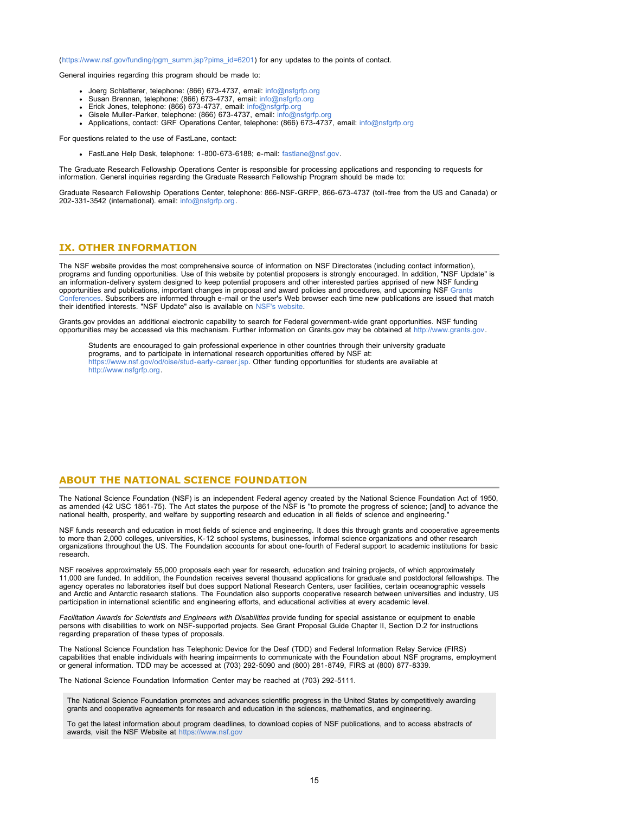([https://www.nsf.gov/funding/pgm\\_summ.jsp?pims\\_id=6201](https://www.nsf.gov/funding/pgm_summ.jsp?pims_id=6201)) for any updates to the points of contact.

General inquiries regarding this program should be made to:

- Joerg Schlatterer, telephone: (866) 673-4737, email: [info@nsfgrfp.org](mailto:info@nsfgrfp.org)
- 
- 
- 
- Susan Brennan, telephone: (866) 673-4737, email: [info@nsfgrfp.org](mailto:info@nsfgrfp.org)<br>Erick Jones, telephone: (866) 673-4737, email: info@nsfgrfp.org<br>Gisele Muller-Parker, telephone: (866) 673-4737, email: info@nsfgrfp.org<br>Applications, conta

For questions related to the use of FastLane, contact:

• FastLane Help Desk, telephone: 1-800-673-6188; e-mail: [fastlane@nsf.gov.](mailto:fastlane@nsf.gov)

The Graduate Research Fellowship Operations Center is responsible for processing applications and responding to requests for information. General inquiries regarding the Graduate Research Fellowship Program should be made to:

Graduate Research Fellowship Operations Center, telephone: 866-NSF-GRFP, 866-673-4737 (toll-free from the US and Canada) or 202-331-3542 (international). email: [info@nsfgrfp.org.](mailto:info@nsfgrfp.org)

## <span id="page-14-0"></span>**IX. OTHER INFORMATION**

The NSF website provides the most comprehensive source of information on NSF Directorates (including contact information), programs and funding opportunities. Use of this website by potential proposers is strongly encouraged. In addition, "NSF Update" is an information-delivery system designed to keep potential proposers and other interested parties apprised of new NSF funding opportunities and publications, important changes in proposal and award policies and procedures, and upcoming NSF [Grants](https://www.nsf.gov/bfa/dias/policy/outreach.jsp) [Conferences.](https://www.nsf.gov/bfa/dias/policy/outreach.jsp) Subscribers are informed through e-mail or the user's Web browser each time new publications are issued that match their identified interests. "NSF Update" also is available on [NSF's website.](https://www.nsf.gov/cgi-bin/goodbye?https://public.govdelivery.com/accounts/USNSF/subscriber/new?topic_id=USNSF_179)

Grants.gov provides an additional electronic capability to search for Federal government-wide grant opportunities. NSF funding opportunities may be accessed via this mechanism. Further information on Grants.gov may be obtained at [http://www.grants.gov](http://www.grants.gov/).

Students are encouraged to gain professional experience in other countries through their university graduate programs, and to participate in international research opportunities offered by NSF at:<br>[https://www.nsf.gov/od/oise/stud-early-career.jsp.](https://www.nsf.gov/od/oise/stud-early-career.jsp) Other funding opportunities for students are available at [http://www.nsfgrfp.org.](https://www.nsf.gov/cgi-bin/goodbye?http://www.nsfgrfp.org)

## **ABOUT THE NATIONAL SCIENCE FOUNDATION**

The National Science Foundation (NSF) is an independent Federal agency created by the National Science Foundation Act of 1950, as amended (42 USC 1861-75). The Act states the purpose of the NSF is "to promote the progress of science; [and] to advance the national health, prosperity, and welfare by supporting research and education in all fields of science and engineering

NSF funds research and education in most fields of science and engineering. It does this through grants and cooperative agreements to more than 2,000 colleges, universities, K-12 school systems, businesses, informal science organizations and other research organizations throughout the US. The Foundation accounts for about one-fourth of Federal support to academic institutions for basic research.

NSF receives approximately 55,000 proposals each year for research, education and training projects, of which approximately<br>11,000 are funded. In addition, the Foundation receives several thousand applications for graduate agency operates no laboratories itself but does support National Research Centers, user facilities, certain oceanographic vessels and Arctic and Antarctic research stations. The Foundation also supports cooperative research between universities and industry, US participation in international scientific and engineering efforts, and educational activities at every academic level.

*Facilitation Awards for Scientists and Engineers with Disabilities* provide funding for special assistance or equipment to enable persons with disabilities to work on NSF-supported projects. See Grant Proposal Guide Chapter II, Section D.2 for instructions regarding preparation of these types of proposals.

The National Science Foundation has Telephonic Device for the Deaf (TDD) and Federal Information Relay Service (FIRS) capabilities that enable individuals with hearing impairments to communicate with the Foundation about NSF programs, employment or general information. TDD may be accessed at (703) 292-5090 and (800) 281-8749, FIRS at (800) 877-8339.

The National Science Foundation Information Center may be reached at (703) 292-5111.

The National Science Foundation promotes and advances scientific progress in the United States by competitively awarding grants and cooperative agreements for research and education in the sciences, mathematics, and engineering.

To get the latest information about program deadlines, to download copies of NSF publications, and to access abstracts of awards, visit the NSF Website at [https://www.nsf.gov](https://www.nsf.gov/)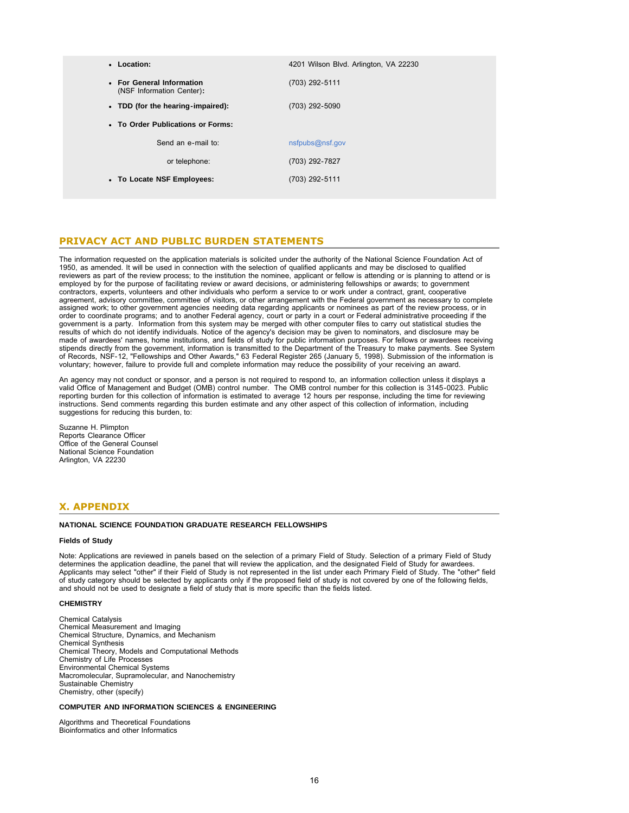| • Location:                                            | 4201 Wilson Blvd. Arlington, VA 22230 |
|--------------------------------------------------------|---------------------------------------|
| • For General Information<br>(NSF Information Center): | (703) 292-5111                        |
| • TDD (for the hearing-impaired):                      | (703) 292-5090                        |
| • To Order Publications or Forms:                      |                                       |
| Send an e-mail to:                                     | nsfpubs@nsf.gov                       |
| or telephone:                                          | (703) 292-7827                        |
| • To Locate NSF Employees:                             | (703) 292-5111                        |
|                                                        |                                       |

## **PRIVACY ACT AND PUBLIC BURDEN STATEMENTS**

The information requested on the application materials is solicited under the authority of the National Science Foundation Act of 1950, as amended. It will be used in connection with the selection of qualified applicants and may be disclosed to qualified reviewers as part of the review process; to the institution the nominee, applicant or fellow is attending or is planning to attend or is employed by for the purpose of facilitating review or award decisions, or administering fellowships or awards; to government contractors, experts, volunteers and other individuals who perform a service to or work under a contract, grant, cooperative agreement, advisory committee, committee of visitors, or other arrangement with the Federal government as necessary to complete assigned work; to other government agencies needing data regarding applicants or nominees as part of the review process, or in order to coordinate programs; and to another Federal agency, court or party in a court or Federal administrative proceeding if the government is a party. Information from this system may be merged with other computer files to carry out statistical studies the results of which do not identify individuals. Notice of the agency's decision may be given to nominators, and disclosure may be made of awardees' names, home institutions, and fields of study for public information purposes. For fellows or awardees receiving stipends directly from the government, information is transmitted to the Department of the Treasury to make payments. See System<br>of Records, NSF-12, "Fellowships and Other Awards," 63 Federal Register 265 (January 5, 1998) voluntary; however, failure to provide full and complete information may reduce the possibility of your receiving an award.

An agency may not conduct or sponsor, and a person is not required to respond to, an information collection unless it displays a valid Office of Management and Budget (OMB) control number. The OMB control number for this collection is 3145-0023. Public reporting burden for this collection of information is estimated to average 12 hours per response, including the time for reviewing instructions. Send comments regarding this burden estimate and any other aspect of this collection of information, including suggestions for reducing this burden, to:

Suzanne H. Plimpton Reports Clearance Officer Office of the General Counsel National Science Foundation Arlington, VA 22230

## <span id="page-15-0"></span>**X. APPENDIX**

### **NATIONAL SCIENCE FOUNDATION GRADUATE RESEARCH FELLOWSHIPS**

## **Fields of Study**

Note: Applications are reviewed in panels based on the selection of a primary Field of Study. Selection of a primary Field of Study<br>determines the application deadline, the panel that will review the application, and the d Applicants may select "other" if their Field of Study is not represented in the list under each Primary Field of Study. The "other" field of study category should be selected by applicants only if the proposed field of study is not covered by one of the following fields, and should not be used to designate a field of study that is more specific than the fields listed.

#### **CHEMISTRY**

Chemical Catalysis Chemical Measurement and Imaging Chemical Structure, Dynamics, and Mechanism Chemical Synthesis Chemical Theory, Models and Computational Methods Chemistry of Life Processes Environmental Chemical Systems Macromolecular, Supramolecular, and Nanochemistry Sustainable Chemistry Chemistry, other (specify)

#### **COMPUTER AND INFORMATION SCIENCES & ENGINEERING**

Algorithms and Theoretical Foundations Bioinformatics and other Informatics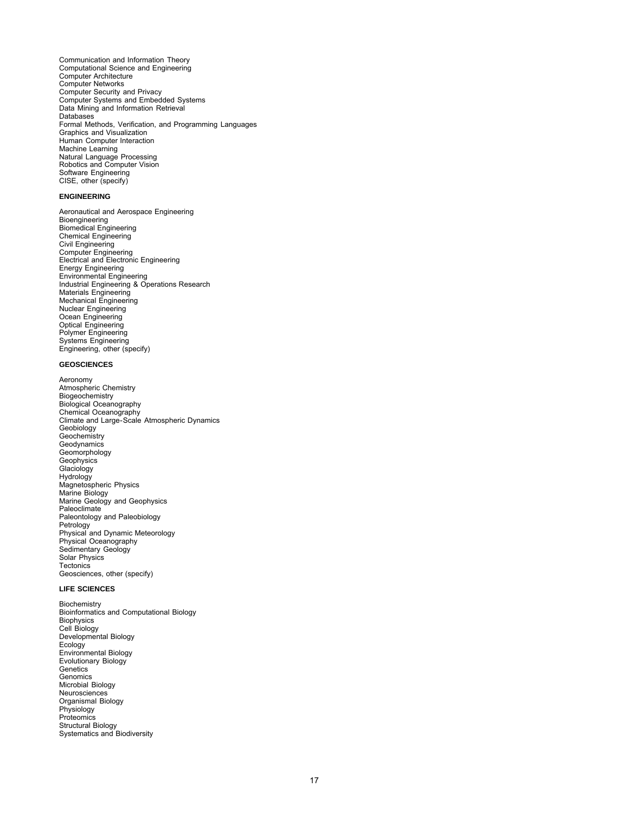Communication and Information Theory Computational Science and Engineering Computer Architecture Computer Networks Computer Security and Privacy Computer Systems and Embedded Systems Data Mining and Information Retrieval Databases Formal Methods, Verification, and Programming Languages Graphics and Visualization Human Computer Interaction Machine Learning Natural Language Processing Robotics and Computer Vision Software Engineering CISE, other (specify)

#### **ENGINEERING**

Aeronautical and Aerospace Engineering Bioengineering Biomedical Engineering Chemical Engineering Civil Engineering Computer Engineering Electrical and Electronic Engineering Energy Engineering Environmental Engineering Industrial Engineering & Operations Research Materials Engineering Mechanical Engineering Nuclear Engineering Ocean Engineering Optical Engineering Polymer Engineering Systems Engineering Engineering, other (specify)

## **GEOSCIENCES**

Aeronomy Atmospheric Chemistry **Biogeochemistry** Biological Oceanography Chemical Oceanography Climate and Large-Scale Atmospheric Dynamics Geobiology **Geochemistry Geodynamics** Geomorphology **Geophysics** Glaciology Hydrology Magnetospheric Physics Marine Biology Marine Geology and Geophysics Paleoclimate Paleontology and Paleobiology Petrology Physical and Dynamic Meteorology Physical Oceanography Sedimentary Geology Solar Physics **Tectonics** Geosciences, other (specify)

## **LIFE SCIENCES**

Biochemistry Bioinformatics and Computational Biology **Biophysics** Cell Biology Developmental Biology Ecology Environmental Biology Evolutionary Biology **Genetics** Genomics Microbial Biology Neurosciences Organismal Biology Physiology **Proteomics** Structural Biology Systematics and Biodiversity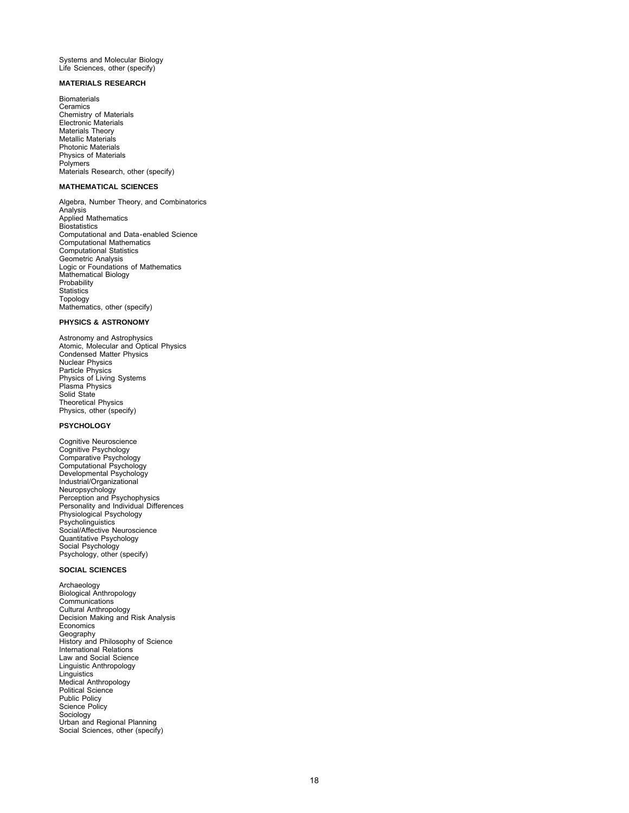Systems and Molecular Biology Life Sciences, other (specify)

## **MATERIALS RESEARCH**

**Biomaterials Ceramics** Chemistry of Materials Electronic Materials Materials Theory Metallic Materials Photonic Materials Physics of Materials Polymers Materials Research, other (specify)

## **MATHEMATICAL SCIENCES**

Algebra, Number Theory, and Combinatorics Analysis Applied Mathematics **Biostatistics** Computational and Data-enabled Science Computational Mathematics Computational Statistics Geometric Analysis Logic or Foundations of Mathematics Mathematical Biology Probability **Statistics** Topology Mathematics, other (specify)

## **PHYSICS & ASTRONOMY**

Astronomy and Astrophysics Atomic, Molecular and Optical Physics Condensed Matter Physics Nuclear Physics Particle Physics Physics of Living Systems Plasma Physics Solid State Theoretical Physics Physics, other (specify)

## **PSYCHOLOGY**

Cognitive Neuroscience Cognitive Psychology Comparative Psychology Computational Psychology Developmental Psychology Industrial/Organizational Neuropsychology Perception and Psychophysics Personality and Individual Differences Physiological Psychology Psycholinguistics Social/Affective Neuroscience Quantitative Psychology Social Psychology Psychology, other (specify)

## **SOCIAL SCIENCES**

Archaeology Biological Anthropology Communications Cultural Anthropology Decision Making and Risk Analysis Economics Geography History and Philosophy of Science International Relations Law and Social Science Linguistic Anthropology Linguistics Medical Anthropology Political Science Public Policy Science Policy Sociology Urban and Regional Planning Social Sciences, other (specify)